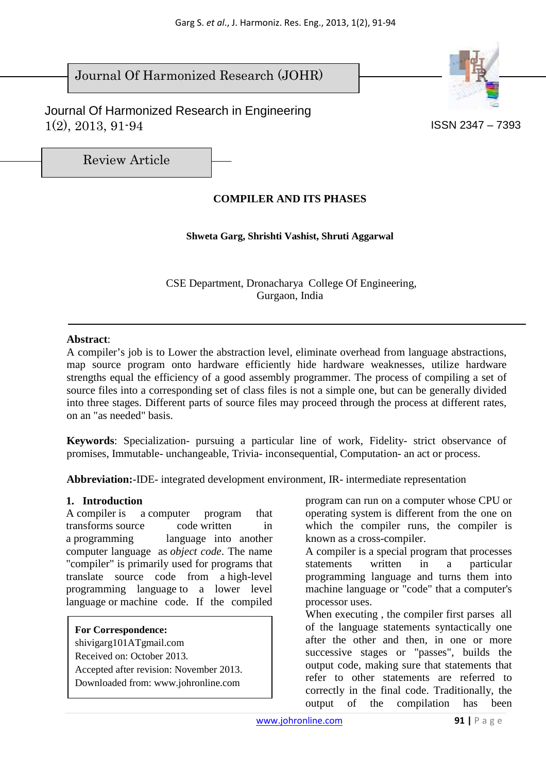# Journal Of Harmonized Research (JOHR)

 Journal Of Harmonized Research in Engineering  $1(2), 2013, 91-94$  ISSN 2347 – 7393



Review Article

# **COMPILER AND ITS PHASES**

## **Shweta Garg, Shrishti Vashist, Shruti Aggarwal**

 CSE Department, Dronacharya College Of Engineering, Gurgaon, India

### **Abstract**:

A compiler's job is to Lower the abstraction level, eliminate overhead from language abstractions, map source program onto hardware efficiently hide hardware weaknesses, utilize hardware strengths equal the efficiency of a good assembly programmer. The process of compiling a set of source files into a corresponding set of class files is not a simple one, but can be generally divided into three stages. Different parts of source files may proceed through the process at different rates, on an "as needed" basis.

**Keywords**: Specialization- pursuing a particular line of work, Fidelity- strict observance of promises, Immutable- unchangeable, Trivia- inconsequential, Computation- an act or process.

**Abbreviation:**-IDE- integrated development environment, IR- intermediate representation

## **1. Introduction**

A compiler is a computer program that transforms source code written in a programming language into another computer language as *object code*. The name "compiler" is primarily used for programs that translate source code from a high-level programming language to a lower level language or machine code. If the compiled

**For Correspondence:**  shivigarg101ATgmail.com Received on: October 2013. Accepted after revision: November 2013. Downloaded from: www.johronline.com

program can run on a computer whose CPU or operating system is different from the one on which the compiler runs, the compiler is known as a cross-compiler.

A compiler is a special program that processes statements written in a particular programming language and turns them into machine language or "code" that a computer's processor uses.

When executing , the compiler first parses all of the language statements syntactically one after the other and then, in one or more successive stages or "passes", builds the output code, making sure that statements that refer to other statements are referred to correctly in the final code. Traditionally, the output of the compilation has been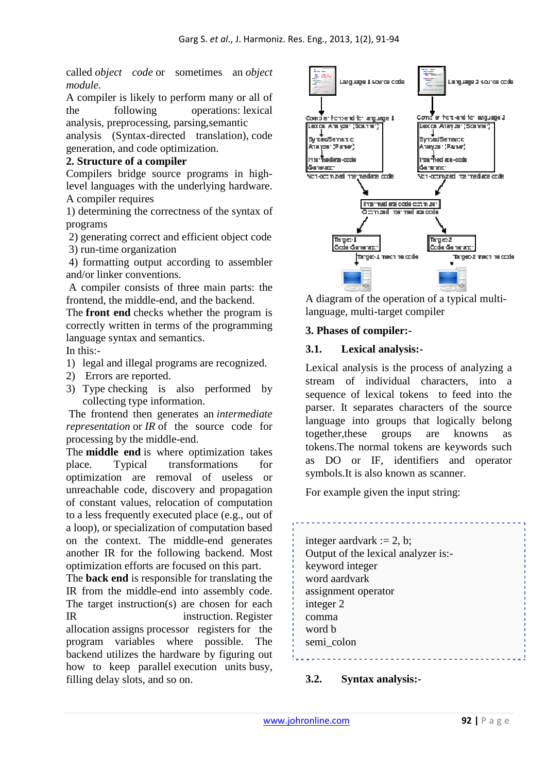called *object code* or sometimes an *object module*.

A compiler is likely to perform many or all of the following operations: lexical analysis, preprocessing, parsing,semantic

analysis (Syntax-directed translation), code generation, and code optimization.

# **2. Structure of a compiler**

Compilers bridge source programs in highlevel languages with the underlying hardware. A compiler requires

1) determining the correctness of the syntax of programs

2) generating correct and efficient object code

3) run-time organization

 4) formatting output according to assembler and/or linker conventions.

 A compiler consists of three main parts: the frontend, the middle-end, and the backend.

The **front end** checks whether the program is correctly written in terms of the programming language syntax and semantics. In this:-

1) legal and illegal programs are recognized.

- 2) Errors are reported.
- 3) Type checking is also performed by collecting type information.

 The frontend then generates an *intermediate representation* or *IR* of the source code for processing by the middle-end.

The **middle end** is where optimization takes place. Typical transformations for optimization are removal of useless or unreachable code, discovery and propagation of constant values, relocation of computation to a less frequently executed place (e.g., out of a loop), or specialization of computation based on the context. The middle-end generates another IR for the following backend. Most optimization efforts are focused on this part.

The **back end** is responsible for translating the IR from the middle-end into assembly code. The target instruction(s) are chosen for each IR instruction. Register allocation assigns processor registers for the program variables where possible. The backend utilizes the hardware by figuring out how to keep parallel execution units busy, filling delay slots, and so on.



A diagram of the operation of a typical multilanguage, multi-target compiler

# **3. Phases of compiler:-**

# **3.1. Lexical analysis:-**

Lexical analysis is the process of analyzing a stream of individual characters, into a sequence of lexical tokens to feed into the parser. It separates characters of the source language into groups that logically belong together,these groups are knowns as tokens.The normal tokens are keywords such as DO or IF, identifiers and operator symbols.It is also known as scanner.

For example given the input string:

integer aardvark  $:= 2$ , b; Output of the lexical analyzer is: keyword integer word aardvark assignment operator integer 2 comma word b semi\_colon

# **3.2. Syntax analysis:-**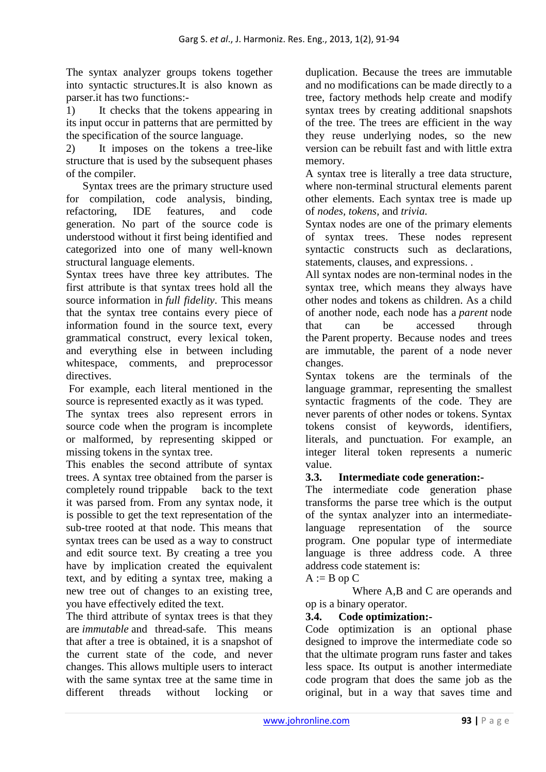The syntax analyzer groups tokens together into syntactic structures.It is also known as parser.it has two functions:-

1) It checks that the tokens appearing in its input occur in patterns that are permitted by the specification of the source language.

2) It imposes on the tokens a tree-like structure that is used by the subsequent phases of the compiler.

 Syntax trees are the primary structure used for compilation, code analysis, binding, refactoring, IDE features, and code generation. No part of the source code is understood without it first being identified and categorized into one of many well-known structural language elements.

Syntax trees have three key attributes. The first attribute is that syntax trees hold all the source information in *full fidelity*. This means that the syntax tree contains every piece of information found in the source text, every grammatical construct, every lexical token, and everything else in between including whitespace, comments, and preprocessor directives.

 For example, each literal mentioned in the source is represented exactly as it was typed.

The syntax trees also represent errors in source code when the program is incomplete or malformed, by representing skipped or missing tokens in the syntax tree.

This enables the second attribute of syntax trees. A syntax tree obtained from the parser is completely round trippable back to the text it was parsed from. From any syntax node, it is possible to get the text representation of the sub-tree rooted at that node. This means that syntax trees can be used as a way to construct and edit source text. By creating a tree you have by implication created the equivalent text, and by editing a syntax tree, making a new tree out of changes to an existing tree, you have effectively edited the text.

The third attribute of syntax trees is that they are *immutable* and thread-safe. This means that after a tree is obtained, it is a snapshot of the current state of the code, and never changes. This allows multiple users to interact with the same syntax tree at the same time in different threads without locking or

duplication. Because the trees are immutable and no modifications can be made directly to a tree, factory methods help create and modify syntax trees by creating additional snapshots of the tree. The trees are efficient in the way they reuse underlying nodes, so the new version can be rebuilt fast and with little extra memory.

A syntax tree is literally a tree data structure, where non-terminal structural elements parent other elements. Each syntax tree is made up of *nodes, tokens,* and *trivia.*

Syntax nodes are one of the primary elements of syntax trees. These nodes represent syntactic constructs such as declarations, statements, clauses, and expressions. .

All syntax nodes are non-terminal nodes in the syntax tree, which means they always have other nodes and tokens as children. As a child of another node, each node has a *parent* node that can be accessed through the Parent property. Because nodes and trees are immutable, the parent of a node never changes.

Syntax tokens are the terminals of the language grammar, representing the smallest syntactic fragments of the code. They are never parents of other nodes or tokens. Syntax tokens consist of keywords, identifiers, literals, and punctuation. For example, an integer literal token represents a numeric value.

# **3.3. Intermediate code generation:-**

The intermediate code generation phase transforms the parse tree which is the output of the syntax analyzer into an intermediatelanguage representation of the source program. One popular type of intermediate language is three address code. A three address code statement is:

## $A := B$  op  $C$

 Where A,B and C are operands and op is a binary operator.

## **3.4. Code optimization:-**

Code optimization is an optional phase designed to improve the intermediate code so that the ultimate program runs faster and takes less space. Its output is another intermediate code program that does the same job as the original, but in a way that saves time and